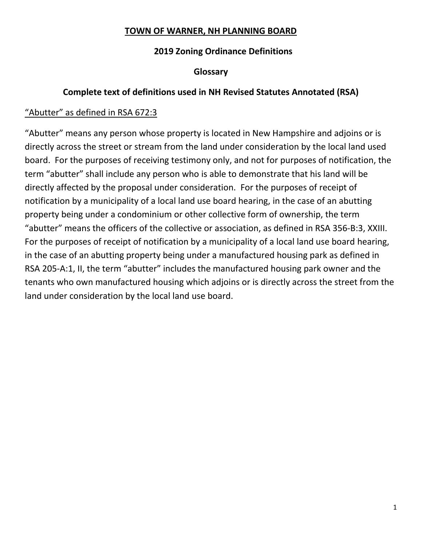#### **TOWN OF WARNER, NH PLANNING BOARD**

## **2019 Zoning Ordinance Definitions**

#### **Glossary**

## **Complete text of definitions used in NH Revised Statutes Annotated (RSA)**

## "Abutter" as defined in RSA 672:3

"Abutter" means any person whose property is located in New Hampshire and adjoins or is directly across the street or stream from the land under consideration by the local land used board. For the purposes of receiving testimony only, and not for purposes of notification, the term "abutter" shall include any person who is able to demonstrate that his land will be directly affected by the proposal under consideration. For the purposes of receipt of notification by a municipality of a local land use board hearing, in the case of an abutting property being under a condominium or other collective form of ownership, the term "abutter" means the officers of the collective or association, as defined in RSA 356-B:3, XXIII. For the purposes of receipt of notification by a municipality of a local land use board hearing, in the case of an abutting property being under a manufactured housing park as defined in RSA 205-A:1, II, the term "abutter" includes the manufactured housing park owner and the tenants who own manufactured housing which adjoins or is directly across the street from the land under consideration by the local land use board.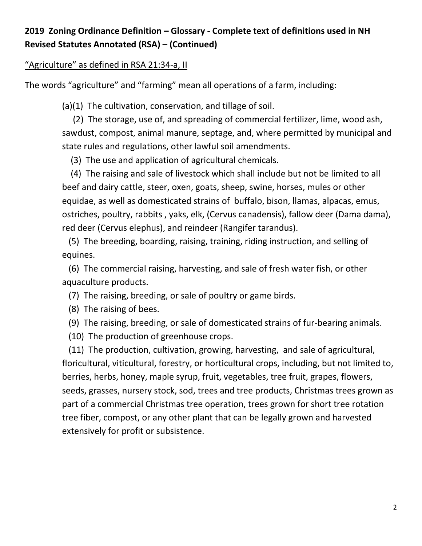# **2019 Zoning Ordinance Definition – Glossary - Complete text of definitions used in NH Revised Statutes Annotated (RSA) – (Continued)**

#### "Agriculture" as defined in RSA 21:34-a, II

The words "agriculture" and "farming" mean all operations of a farm, including:

(a)(1) The cultivation, conservation, and tillage of soil.

 (2) The storage, use of, and spreading of commercial fertilizer, lime, wood ash, sawdust, compost, animal manure, septage, and, where permitted by municipal and state rules and regulations, other lawful soil amendments.

(3) The use and application of agricultural chemicals.

 (4) The raising and sale of livestock which shall include but not be limited to all beef and dairy cattle, steer, oxen, goats, sheep, swine, horses, mules or other equidae, as well as domesticated strains of buffalo, bison, llamas, alpacas, emus, ostriches, poultry, rabbits , yaks, elk, (Cervus canadensis), fallow deer (Dama dama), red deer (Cervus elephus), and reindeer (Rangifer tarandus).

 (5) The breeding, boarding, raising, training, riding instruction, and selling of equines.

 (6) The commercial raising, harvesting, and sale of fresh water fish, or other aquaculture products.

(7) The raising, breeding, or sale of poultry or game birds.

(8) The raising of bees.

(9) The raising, breeding, or sale of domesticated strains of fur-bearing animals.

(10) The production of greenhouse crops.

 (11) The production, cultivation, growing, harvesting, and sale of agricultural, floricultural, viticultural, forestry, or horticultural crops, including, but not limited to, berries, herbs, honey, maple syrup, fruit, vegetables, tree fruit, grapes, flowers, seeds, grasses, nursery stock, sod, trees and tree products, Christmas trees grown as part of a commercial Christmas tree operation, trees grown for short tree rotation tree fiber, compost, or any other plant that can be legally grown and harvested extensively for profit or subsistence.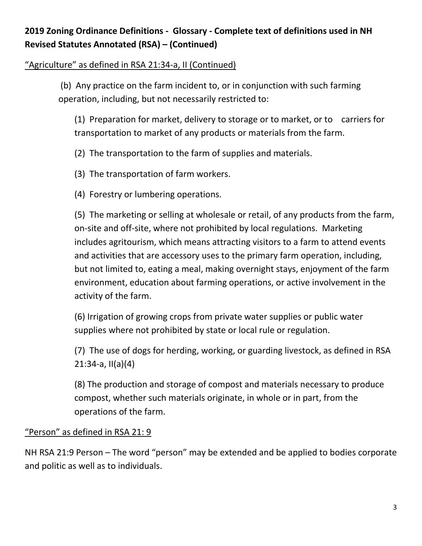# **2019 Zoning Ordinance Definitions - Glossary - Complete text of definitions used in NH Revised Statutes Annotated (RSA) – (Continued)**

## "Agriculture" as defined in RSA 21:34-a, II (Continued)

(b) Any practice on the farm incident to, or in conjunction with such farming operation, including, but not necessarily restricted to:

(1) Preparation for market, delivery to storage or to market, or to carriers for transportation to market of any products or materials from the farm.

(2) The transportation to the farm of supplies and materials.

- (3) The transportation of farm workers.
- (4) Forestry or lumbering operations.

(5) The marketing or selling at wholesale or retail, of any products from the farm, on-site and off-site, where not prohibited by local regulations. Marketing includes agritourism, which means attracting visitors to a farm to attend events and activities that are accessory uses to the primary farm operation, including, but not limited to, eating a meal, making overnight stays, enjoyment of the farm environment, education about farming operations, or active involvement in the activity of the farm.

(6) Irrigation of growing crops from private water supplies or public water supplies where not prohibited by state or local rule or regulation.

(7) The use of dogs for herding, working, or guarding livestock, as defined in RSA 21:34-a, II(a)(4)

(8) The production and storage of compost and materials necessary to produce compost, whether such materials originate, in whole or in part, from the operations of the farm.

## "Person" as defined in RSA 21: 9

NH RSA 21:9 Person – The word "person" may be extended and be applied to bodies corporate and politic as well as to individuals.